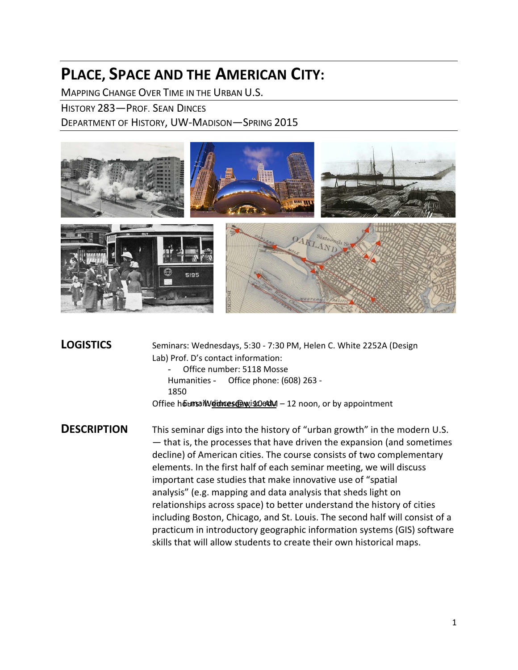# **PLACE, SPACE AND THE AMERICAN CITY:**

MAPPING CHANGE OVER TIME IN THE URBAN U.S.

HISTORY 283—PROF. SEAN DINCES

DEPARTMENT OF HISTORY, UW-MADISON—SPRING 2015



**LOGISTICS** Seminars: Wednesdays, 5:30 - 7:30 PM, Helen C. White 2252A (Design Lab) Prof. D's contact information: - Office number: 5118 Mosse Humanities - Office phone: (608) 263 - 1850 Office hoursail Weithnes @wiscle&M - 12 noon, or by appointment **DESCRIPTION** This seminar digs into the history of "urban growth" in the modern U.S. — that is, the processes that have driven the expansion (and sometimes decline) of American cities. The course consists of two complementary elements. In the first half of each seminar meeting, we will discuss

important case studies that make innovative use of "spatial analysis" (e.g. mapping and data analysis that sheds light on relationships across space) to better understand the history of cities including Boston, Chicago, and St. Louis. The second half will consist of a practicum in introductory geographic information systems (GIS) software skills that will allow students to create their own historical maps.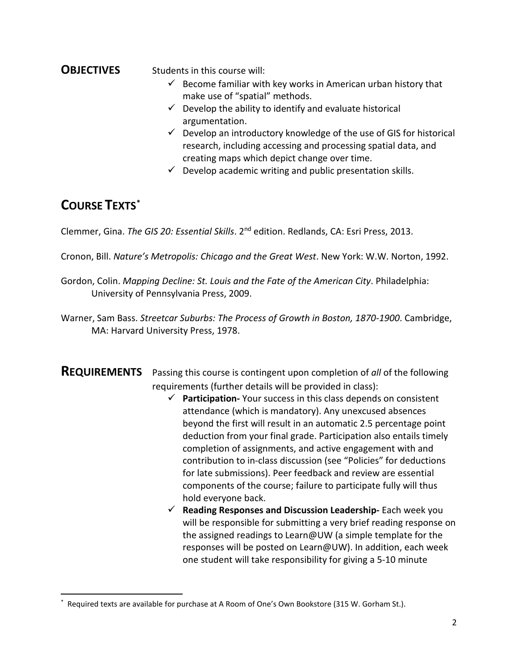# **OBJECTIVES** Students in this course will:

- $\checkmark$  Become familiar with key works in American urban history that make use of "spatial" methods.
- $\checkmark$  Develop the ability to identify and evaluate historical argumentation.
- $\checkmark$  Develop an introductory knowledge of the use of GIS for historical research, including accessing and processing spatial data, and creating maps which depict change over time.
- $\checkmark$  Develop academic writing and public presentation skills.

# **COURSE TEXTS[\\*](#page-1-0)**

Clemmer, Gina. *The GIS 20: Essential Skills*. 2nd edition. Redlands, CA: Esri Press, 2013.

Cronon, Bill. *Nature's Metropolis: Chicago and the Great West*. New York: W.W. Norton, 1992.

- Gordon, Colin. *Mapping Decline: St. Louis and the Fate of the American City*. Philadelphia: University of Pennsylvania Press, 2009.
- Warner, Sam Bass. *Streetcar Suburbs: The Process of Growth in Boston, 1870-1900*. Cambridge, MA: Harvard University Press, 1978.
- **REQUIREMENTS** Passing this course is contingent upon completion of *all* of the following requirements (further details will be provided in class):
	- **Participation-** Your success in this class depends on consistent attendance (which is mandatory). Any unexcused absences beyond the first will result in an automatic 2.5 percentage point deduction from your final grade. Participation also entails timely completion of assignments, and active engagement with and contribution to in-class discussion (see "Policies" for deductions for late submissions). Peer feedback and review are essential components of the course; failure to participate fully will thus hold everyone back.
	- **Reading Responses and Discussion Leadership-** Each week you will be responsible for submitting a very brief reading response on the assigned readings to Learn@UW (a simple template for the responses will be posted on Learn@UW). In addition, each week one student will take responsibility for giving a 5-10 minute

<span id="page-1-0"></span>Required texts are available for purchase at A Room of One's Own Bookstore (315 W. Gorham St.).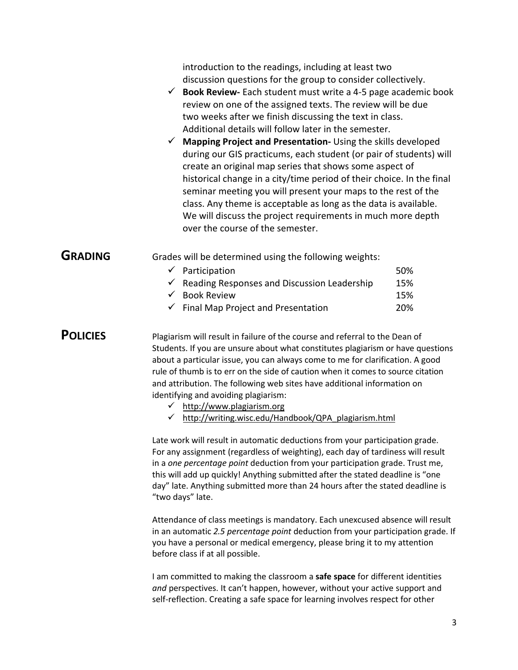|                 | introduction to the readings, including at least two<br>discussion questions for the group to consider collectively.<br>$\checkmark$ Book Review-Each student must write a 4-5 page academic book<br>review on one of the assigned texts. The review will be due<br>two weeks after we finish discussing the text in class.<br>Additional details will follow later in the semester.<br>$\checkmark$ Mapping Project and Presentation-Using the skills developed<br>during our GIS practicums, each student (or pair of students) will<br>create an original map series that shows some aspect of<br>historical change in a city/time period of their choice. In the final<br>seminar meeting you will present your maps to the rest of the<br>class. Any theme is acceptable as long as the data is available.<br>We will discuss the project requirements in much more depth<br>over the course of the semester. |  |
|-----------------|--------------------------------------------------------------------------------------------------------------------------------------------------------------------------------------------------------------------------------------------------------------------------------------------------------------------------------------------------------------------------------------------------------------------------------------------------------------------------------------------------------------------------------------------------------------------------------------------------------------------------------------------------------------------------------------------------------------------------------------------------------------------------------------------------------------------------------------------------------------------------------------------------------------------|--|
| <b>GRADING</b>  | Grades will be determined using the following weights:<br>$\checkmark$ Participation<br>50%<br>$\checkmark$ Reading Responses and Discussion Leadership<br>15%<br>$\checkmark$ Book Review<br>15%<br>$\checkmark$ Final Map Project and Presentation<br>20%                                                                                                                                                                                                                                                                                                                                                                                                                                                                                                                                                                                                                                                        |  |
| <b>POLICIES</b> | Plagiarism will result in failure of the course and referral to the Dean of<br>Students. If you are unsure about what constitutes plagiarism or have questions<br>about a particular issue, you can always come to me for clarification. A good<br>rule of thumb is to err on the side of caution when it comes to source citation<br>and attribution. The following web sites have additional information on<br>identifying and avoiding plagiarism:<br>http://www.plagiarism.org<br>$\checkmark$<br>http://writing.wisc.edu/Handbook/QPA_plagiarism.html                                                                                                                                                                                                                                                                                                                                                         |  |
|                 | Late work will result in automatic deductions from your participation grade.<br>For any assignment (regardless of weighting), each day of tardiness will result<br>in a one percentage point deduction from your participation grade. Trust me,<br>this will add up quickly! Anything submitted after the stated deadline is "one<br>day" late. Anything submitted more than 24 hours after the stated deadline is<br>"two days" late.                                                                                                                                                                                                                                                                                                                                                                                                                                                                             |  |

Attendance of class meetings is mandatory. Each unexcused absence will result in an automatic *2.5 percentage point* deduction from your participation grade. If you have a personal or medical emergency, please bring it to my attention before class if at all possible.

I am committed to making the classroom a **safe space** for different identities *and* perspectives. It can't happen, however, without your active support and self-reflection. Creating a safe space for learning involves respect for other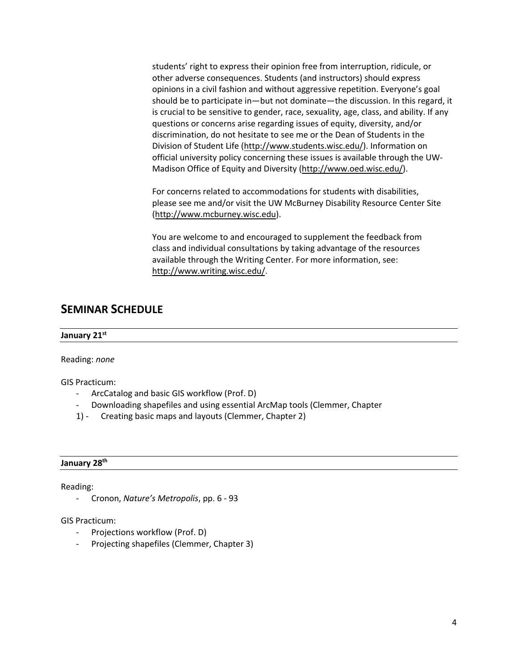students' right to express their opinion free from interruption, ridicule, or other adverse consequences. Students (and instructors) should express opinions in a civil fashion and without aggressive repetition. Everyone's goal should be to participate in—but not dominate—the discussion. In this regard, it is crucial to be sensitive to gender, race, sexuality, age, class, and ability. If any questions or concerns arise regarding issues of equity, diversity, and/or discrimination, do not hesitate to see me or the Dean of Students in the [Division of Student Life](http://www.students.wisc.edu/) (http://www.students.wisc.edu/). Information on official university policy concerning these issues is available through the UW-Madison Office of Equity [and Diversity \(ht](http://www.oed.wisc.edu/)tp://www.oed.wisc.edu/).

For concerns related to accommodations for students with disabilities, please see me and/or visit the UW McBurney Disability Resource Center Site [\(http://www.mcburney.wisc.edu\)](http://www.mcburney.wisc.edu/).

You are welcome to and encouraged to supplement the feedback from class and individual consultations by taking advantage of the resources available through the Writing Center. For more information, see: [http://www.writing.wisc.edu/.](http://www.writing.wisc.edu/) 

# **SEMINAR SCHEDULE**

#### **January 21 st**

Reading: *none*

GIS Practicum:

- ArcCatalog and basic GIS workflow (Prof. D)
- Downloading shapefiles and using essential ArcMap tools (Clemmer, Chapter
- 1) Creating basic maps and layouts (Clemmer, Chapter 2)

#### **January 28 th**

Reading:

- Cronon, *Nature's Metropolis*, pp. 6 - 93

GIS Practicum:

- Projections workflow (Prof. D)
- Projecting shapefiles (Clemmer, Chapter 3)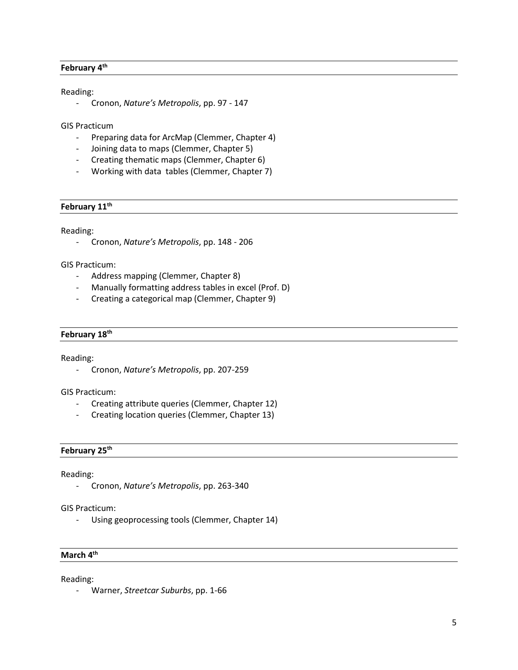#### **February 4th**

#### Reading:

- Cronon, *Nature's Metropolis*, pp. 97 - 147

GIS Practicum

- Preparing data for ArcMap (Clemmer, Chapter 4)
- Joining data to maps (Clemmer, Chapter 5)
- Creating thematic maps (Clemmer, Chapter 6)
- Working with data tables (Clemmer, Chapter 7)

#### **February 11th**

Reading:

- Cronon, *Nature's Metropolis*, pp. 148 - 206

GIS Practicum:

- Address mapping (Clemmer, Chapter 8)
- Manually formatting address tables in excel (Prof. D)
- Creating a categorical map (Clemmer, Chapter 9)

#### **February 18th**

Reading:

- Cronon, *Nature's Metropolis*, pp. 207-259

GIS Practicum:

- Creating attribute queries (Clemmer, Chapter 12)
- Creating location queries (Clemmer, Chapter 13)

#### **February 25th**

Reading:

- Cronon, *Nature's Metropolis*, pp. 263-340

GIS Practicum:

- Using geoprocessing tools (Clemmer, Chapter 14)

#### **March 4th**

Reading:

- Warner, *Streetcar Suburbs*, pp. 1-66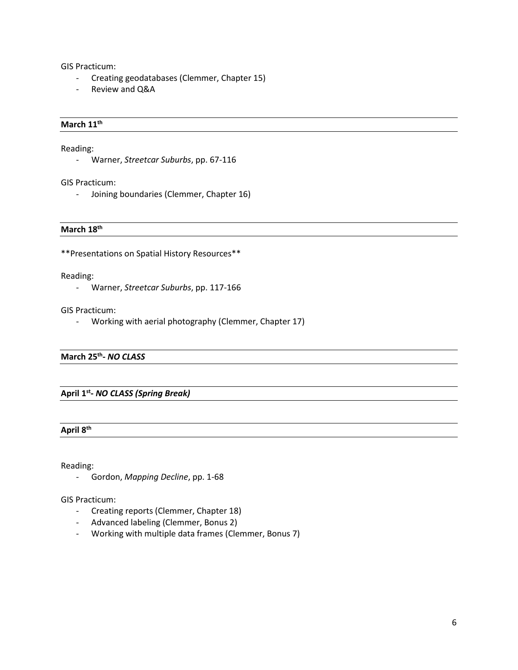GIS Practicum:

- Creating geodatabases (Clemmer, Chapter 15)
- Review and Q&A

#### **March 11th**

Reading:

- Warner, *Streetcar Suburbs*, pp. 67-116

GIS Practicum:

- Joining boundaries (Clemmer, Chapter 16)

#### **March 18th**

\*\*Presentations on Spatial History Resources\*\*

Reading:

- Warner, *Streetcar Suburbs*, pp. 117-166

GIS Practicum:

- Working with aerial photography (Clemmer, Chapter 17)

#### **March 25th-** *NO CLASS*

### **April 1st-** *NO CLASS (Spring Break)*

#### **April 8th**

Reading:

- Gordon, *Mapping Decline*, pp. 1-68

GIS Practicum:

- Creating reports (Clemmer, Chapter 18)
- Advanced labeling (Clemmer, Bonus 2)
- Working with multiple data frames (Clemmer, Bonus 7)